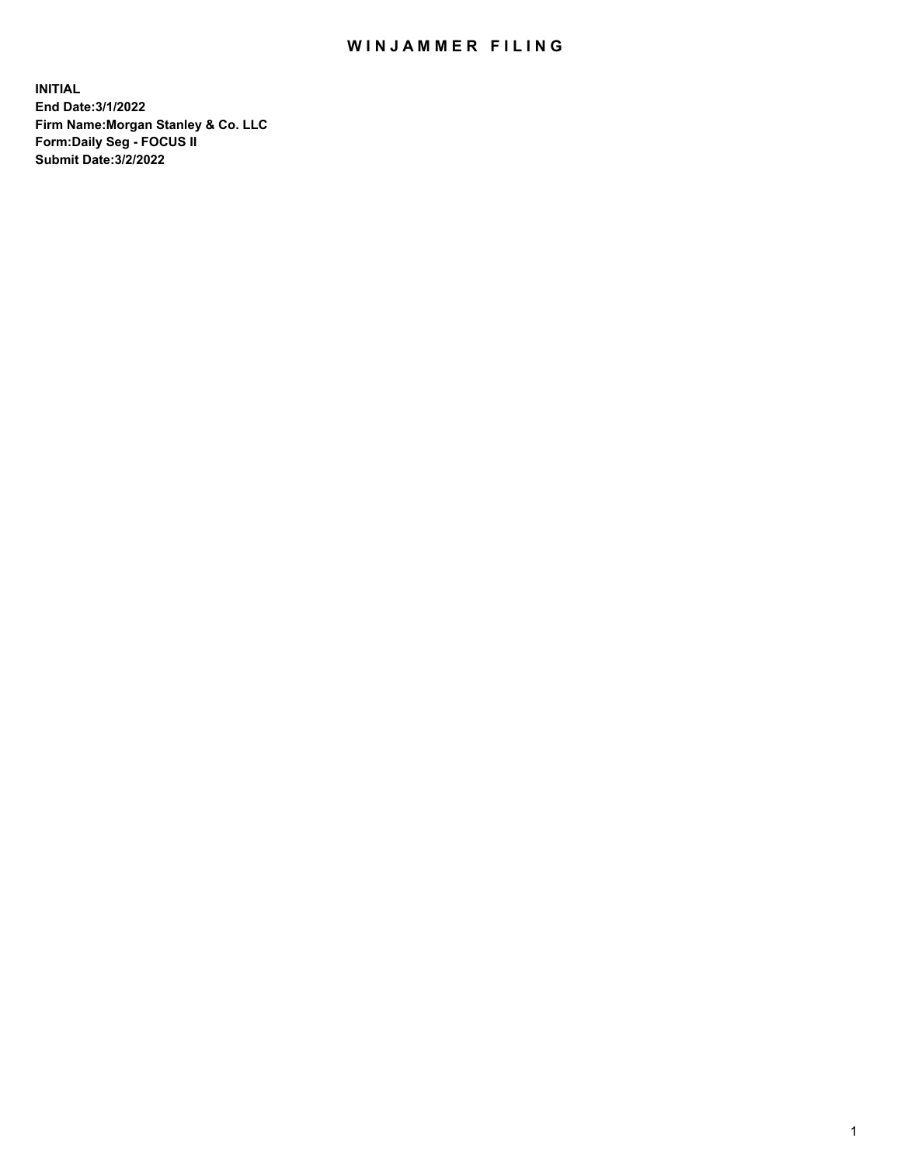## WIN JAMMER FILING

**INITIAL End Date:3/1/2022 Firm Name:Morgan Stanley & Co. LLC Form:Daily Seg - FOCUS II Submit Date:3/2/2022**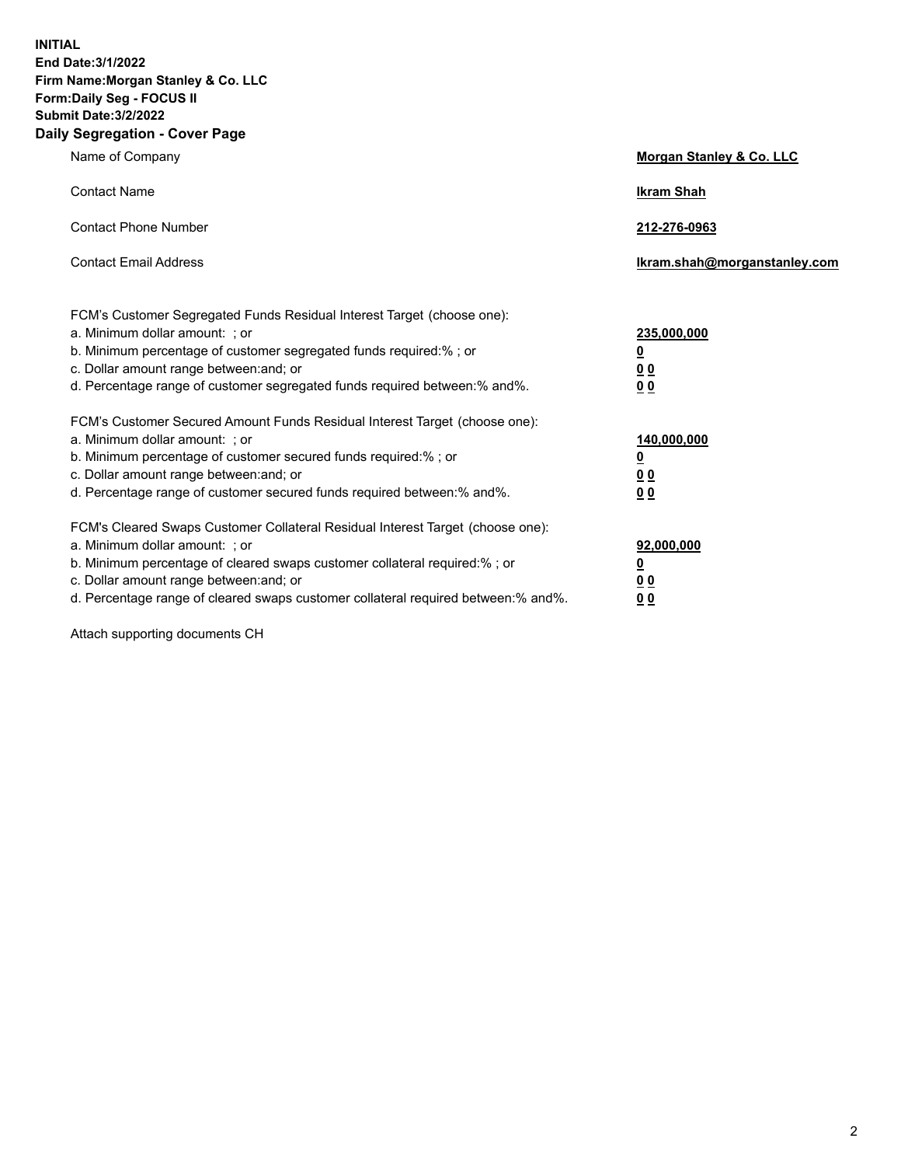**INITIAL End Date:3/1/2022 Firm Name:Morgan Stanley & Co. LLC Form:Daily Seg - FOCUS II Submit Date:3/2/2022 Daily Segregation - Cover Page**

| Name of Company                                                                                                                                                                                                                                                                                                               | Morgan Stanley & Co. LLC                                                     |
|-------------------------------------------------------------------------------------------------------------------------------------------------------------------------------------------------------------------------------------------------------------------------------------------------------------------------------|------------------------------------------------------------------------------|
| <b>Contact Name</b>                                                                                                                                                                                                                                                                                                           | <b>Ikram Shah</b>                                                            |
| <b>Contact Phone Number</b>                                                                                                                                                                                                                                                                                                   | 212-276-0963                                                                 |
| <b>Contact Email Address</b>                                                                                                                                                                                                                                                                                                  | Ikram.shah@morganstanley.com                                                 |
| FCM's Customer Segregated Funds Residual Interest Target (choose one):<br>a. Minimum dollar amount: ; or<br>b. Minimum percentage of customer segregated funds required:% ; or<br>c. Dollar amount range between: and; or<br>d. Percentage range of customer segregated funds required between: % and %.                      | 235,000,000<br><u>0</u><br><u>00</u><br>0 Q                                  |
| FCM's Customer Secured Amount Funds Residual Interest Target (choose one):<br>a. Minimum dollar amount: ; or<br>b. Minimum percentage of customer secured funds required:%; or<br>c. Dollar amount range between: and; or<br>d. Percentage range of customer secured funds required between:% and%.                           | 140,000,000<br><u>0</u><br>$\underline{0}$ $\underline{0}$<br>0 <sup>0</sup> |
| FCM's Cleared Swaps Customer Collateral Residual Interest Target (choose one):<br>a. Minimum dollar amount: ; or<br>b. Minimum percentage of cleared swaps customer collateral required:%; or<br>c. Dollar amount range between: and; or<br>d. Percentage range of cleared swaps customer collateral required between:% and%. | 92,000,000<br><u>0</u><br><u>00</u><br>00                                    |

Attach supporting documents CH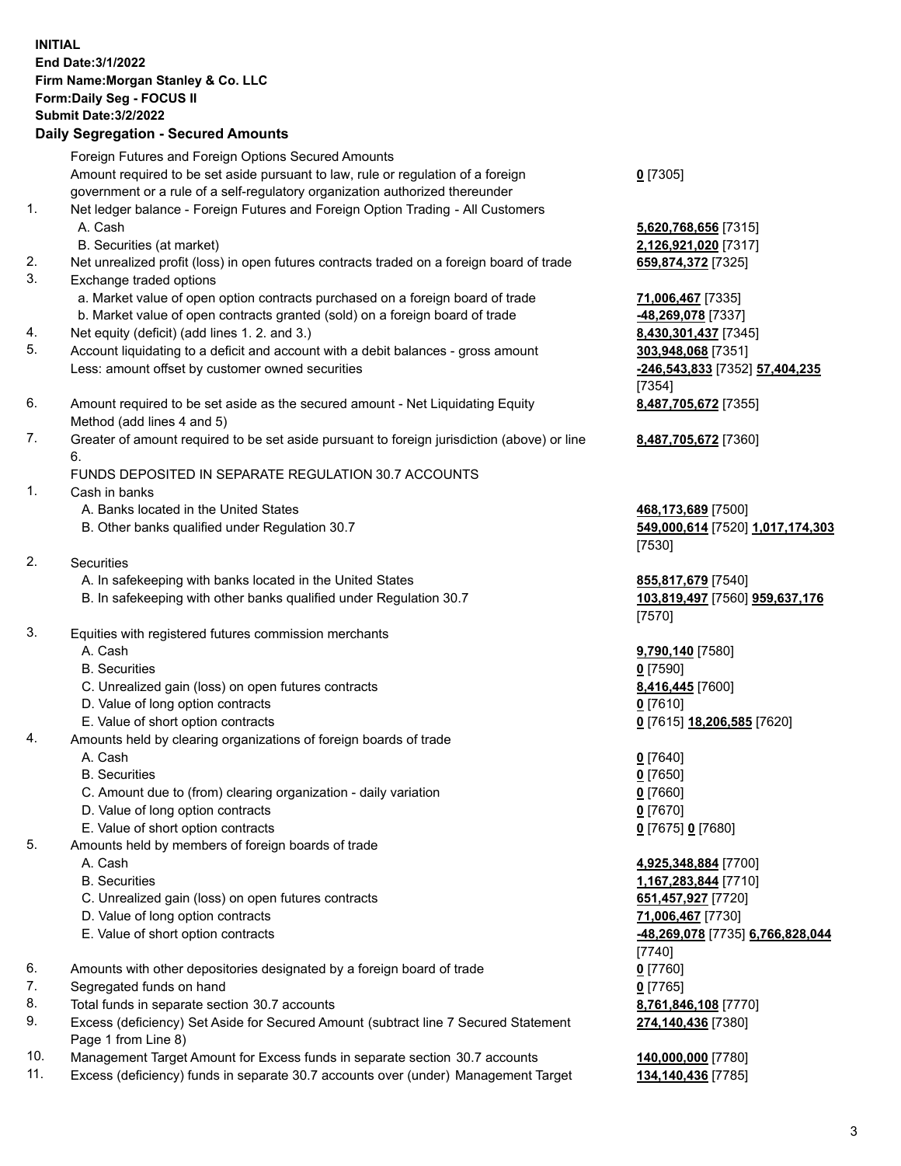## **INITIAL End Date:3/1/2022 Firm Name:Morgan Stanley & Co. LLC Form:Daily Seg - FOCUS II Submit Date:3/2/2022 Daily Segregation - Secured Amounts** Foreign Futures and Foreign Options Secured Amounts Amount required to be set aside pursuant to law, rule or regulation of a foreign government or a rule of a self-regulatory organization authorized thereunder 1. Net ledger balance - Foreign Futures and Foreign Option Trading - All Customers A. Cash **5,620,768,656** [7315] B. Securities (at market) **2,126,921,020** [7317] 2. Net unrealized profit (loss) in open futures contracts traded on a foreign board of trade **659,874,372** [7325] 3. Exchange traded options a. Market value of open option contracts purchased on a foreign board of trade **71,006,467** [7335] b. Market value of open contracts granted (sold) on a foreign board of trade **-48,269,078** [7337] 4. Net equity (deficit) (add lines 1. 2. and 3.) **8,430,301,437** [7345] 5. Account liquidating to a deficit and account with a debit balances - gross amount **303,948,068** [7351] Less: amount offset by customer owned securities **-246,543,833** [7352] **57,404,235** 6. Amount required to be set aside as the secured amount - Net Liquidating Equity Method (add lines 4 and 5) 7. Greater of amount required to be set aside pursuant to foreign jurisdiction (above) or line 6. FUNDS DEPOSITED IN SEPARATE REGULATION 30.7 ACCOUNTS 1. Cash in banks A. Banks located in the United States **468,173,689** [7500] B. Other banks qualified under Regulation 30.7 **549,000,614** [7520] **1,017,174,303** 2. Securities A. In safekeeping with banks located in the United States **855,817,679** [7540] B. In safekeeping with other banks qualified under Regulation 30.7 **103,819,497** [7560] **959,637,176** 3. Equities with registered futures commission merchants A. Cash **9,790,140** [7580] B. Securities **0** [7590] C. Unrealized gain (loss) on open futures contracts **8,416,445** [7600] D. Value of long option contracts **0** [7610] E. Value of short option contracts **0** [7615] **18,206,585** [7620] 4. Amounts held by clearing organizations of foreign boards of trade A. Cash **0** [7640] B. Securities **0** [7650] C. Amount due to (from) clearing organization - daily variation **0** [7660] D. Value of long option contracts **0** [7670] E. Value of short option contracts **0** [7675] **0** [7680] 5. Amounts held by members of foreign boards of trade A. Cash **4,925,348,884** [7700] B. Securities **1,167,283,844** [7710] C. Unrealized gain (loss) on open futures contracts **651,457,927** [7720] D. Value of long option contracts **71,006,467** [7730] E. Value of short option contracts **-48,269,078** [7735] **6,766,828,044**

- 6. Amounts with other depositories designated by a foreign board of trade **0** [7760]
- 7. Segregated funds on hand **0** [7765]
- 8. Total funds in separate section 30.7 accounts **8,761,846,108** [7770]
- 9. Excess (deficiency) Set Aside for Secured Amount (subtract line 7 Secured Statement Page 1 from Line 8)
- 10. Management Target Amount for Excess funds in separate section 30.7 accounts **140,000,000** [7780]
- 11. Excess (deficiency) funds in separate 30.7 accounts over (under) Management Target **134,140,436** [7785]

**0** [7305]

[7354] **8,487,705,672** [7355]

**8,487,705,672** [7360]

[7530]

[7570]

[7740] **274,140,436** [7380]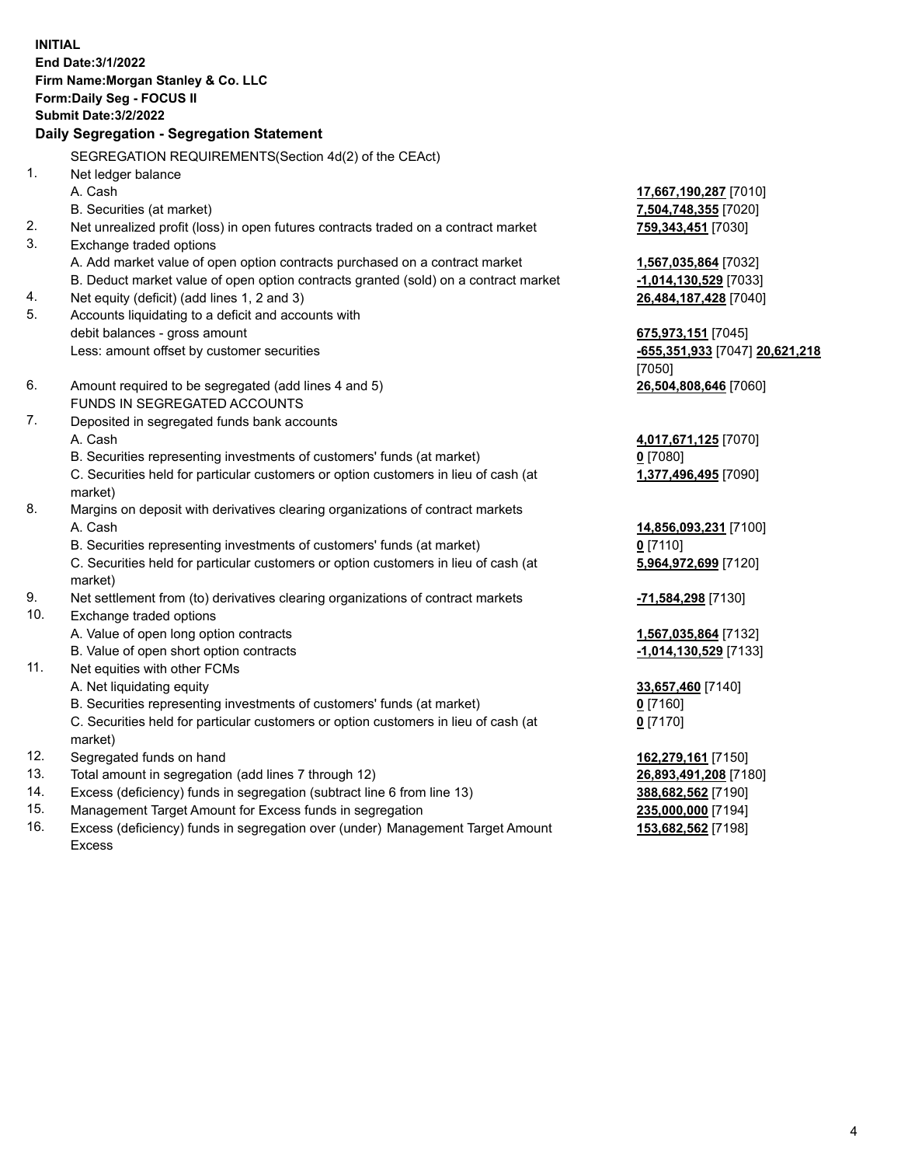**INITIAL End Date:3/1/2022 Firm Name:Morgan Stanley & Co. LLC Form:Daily Seg - FOCUS II Submit Date:3/2/2022 Daily Segregation - Segregation Statement** SEGREGATION REQUIREMENTS(Section 4d(2) of the CEAct) 1. Net ledger balance A. Cash **17,667,190,287** [7010] B. Securities (at market) **7,504,748,355** [7020] 2. Net unrealized profit (loss) in open futures contracts traded on a contract market **759,343,451** [7030] 3. Exchange traded options A. Add market value of open option contracts purchased on a contract market **1,567,035,864** [7032] B. Deduct market value of open option contracts granted (sold) on a contract market **-1,014,130,529** [7033] 4. Net equity (deficit) (add lines 1, 2 and 3) **26,484,187,428** [7040] 5. Accounts liquidating to a deficit and accounts with debit balances - gross amount **675,973,151** [7045] Less: amount offset by customer securities **-655,351,933** [7047] **20,621,218** [7050] 6. Amount required to be segregated (add lines 4 and 5) **26,504,808,646** [7060] FUNDS IN SEGREGATED ACCOUNTS 7. Deposited in segregated funds bank accounts A. Cash **4,017,671,125** [7070] B. Securities representing investments of customers' funds (at market) **0** [7080] C. Securities held for particular customers or option customers in lieu of cash (at market) **1,377,496,495** [7090] 8. Margins on deposit with derivatives clearing organizations of contract markets A. Cash **14,856,093,231** [7100] B. Securities representing investments of customers' funds (at market) **0** [7110] C. Securities held for particular customers or option customers in lieu of cash (at market) **5,964,972,699** [7120] 9. Net settlement from (to) derivatives clearing organizations of contract markets **-71,584,298** [7130] 10. Exchange traded options A. Value of open long option contracts **1,567,035,864** [7132] B. Value of open short option contracts **-1,014,130,529** [7133] 11. Net equities with other FCMs A. Net liquidating equity **33,657,460** [7140] B. Securities representing investments of customers' funds (at market) **0** [7160] C. Securities held for particular customers or option customers in lieu of cash (at market) **0** [7170] 12. Segregated funds on hand **162,279,161** [7150] 13. Total amount in segregation (add lines 7 through 12) **26,893,491,208** [7180] 14. Excess (deficiency) funds in segregation (subtract line 6 from line 13) **388,682,562** [7190] 15. Management Target Amount for Excess funds in segregation **235,000,000** [7194]

16. Excess (deficiency) funds in segregation over (under) Management Target Amount Excess

**153,682,562** [7198]